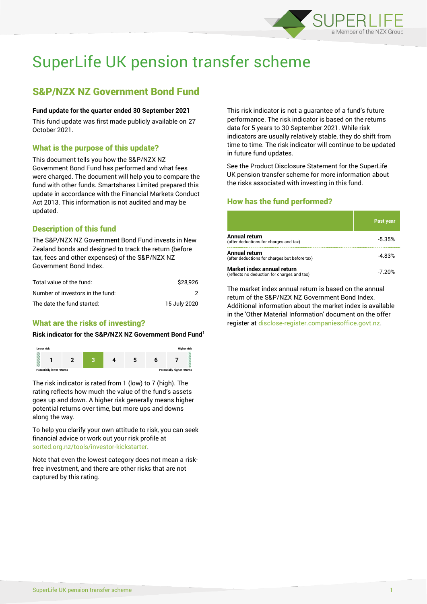

# SuperLife UK pension transfer scheme

# S&P/NZX NZ Government Bond Fund

#### **Fund update for the quarter ended 30 September 2021**

This fund update was first made publicly available on 27 October 2021.

# What is the purpose of this update?

This document tells you how the S&P/NZX NZ Government Bond Fund has performed and what fees were charged. The document will help you to compare the fund with other funds. Smartshares Limited prepared this update in accordance with the Financial Markets Conduct Act 2013. This information is not audited and may be updated.

# Description of this fund

The S&P/NZX NZ Government Bond Fund invests in New Zealand bonds and designed to track the return (before tax, fees and other expenses) of the S&P/NZX NZ Government Bond Index.

| Total value of the fund:         | \$28.926     |
|----------------------------------|--------------|
| Number of investors in the fund: |              |
| The date the fund started:       | 15 July 2020 |

# What are the risks of investing?

#### **Risk indicator for the S&P/NZX NZ Government Bond Fund<sup>1</sup>**



The risk indicator is rated from 1 (low) to 7 (high). The rating reflects how much the value of the fund's assets goes up and down. A higher risk generally means higher potential returns over time, but more ups and downs along the way.

To help you clarify your own attitude to risk, you can seek financial advice or work out your risk profile at [sorted.org.nz/tools/investor-kickstarter.](http://www.sorted.org.nz/tools/investor-kickstarter)

Note that even the lowest category does not mean a riskfree investment, and there are other risks that are not captured by this rating.

This risk indicator is not a guarantee of a fund's future performance. The risk indicator is based on the returns data for 5 years to 30 September 2021. While risk indicators are usually relatively stable, they do shift from time to time. The risk indicator will continue to be updated in future fund updates.

See the Product Disclosure Statement for the SuperLife UK pension transfer scheme for more information about the risks associated with investing in this fund.

# How has the fund performed?

|                                                                           | <b>Past year</b> |
|---------------------------------------------------------------------------|------------------|
| Annual return<br>(after deductions for charges and tax)                   | $-5.35%$         |
| Annual return<br>(after deductions for charges but before tax)            | $-4.83%$         |
| Market index annual return<br>(reflects no deduction for charges and tax) | -7.20%           |

The market index annual return is based on the annual return of the S&P/NZX NZ Government Bond Index. Additional information about the market index is available in the 'Other Material Information' document on the offer register a[t disclose-register.companiesoffice.govt.nz.](http://www.disclose-register.companiesoffice.govt.nz/)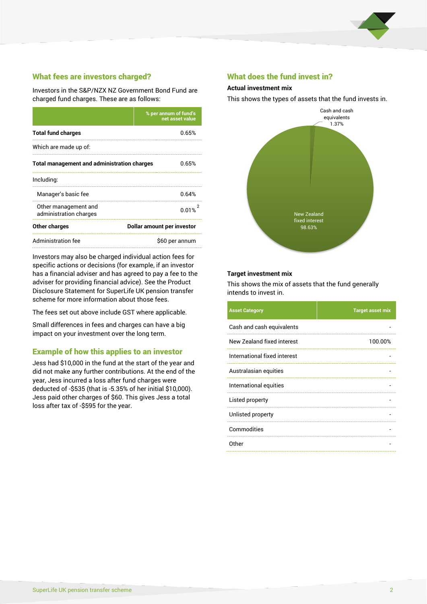

# What fees are investors charged?

Investors in the S&P/NZX NZ Government Bond Fund are charged fund charges. These are as follows:

|                                                    | % per annum of fund's<br>net asset value |  |
|----------------------------------------------------|------------------------------------------|--|
| <b>Total fund charges</b>                          | 0.65%                                    |  |
| Which are made up of:                              |                                          |  |
| <b>Total management and administration charges</b> | 0.65%                                    |  |
| Including:                                         |                                          |  |
| Manager's basic fee                                | 0.64%                                    |  |
| Other management and<br>administration charges     | 0.01%                                    |  |
| Other charges                                      | Dollar amount per investor               |  |
| Administration fee                                 | \$60 per annum                           |  |

Investors may also be charged individual action fees for specific actions or decisions (for example, if an investor has a financial adviser and has agreed to pay a fee to the adviser for providing financial advice). See the Product Disclosure Statement for SuperLife UK pension transfer scheme for more information about those fees.

The fees set out above include GST where applicable.

Small differences in fees and charges can have a big impact on your investment over the long term.

## Example of how this applies to an investor

Jess had \$10,000 in the fund at the start of the year and did not make any further contributions. At the end of the year, Jess incurred a loss after fund charges were deducted of -\$535 (that is -5.35% of her initial \$10,000). Jess paid other charges of \$60. This gives Jess a total loss after tax of -\$595 for the year.

### What does the fund invest in?

#### **Actual investment mix**

This shows the types of assets that the fund invests in.



#### **Target investment mix**

This shows the mix of assets that the fund generally intends to invest in.

| <b>Asset Category</b>        | <b>Target asset mix</b> |
|------------------------------|-------------------------|
| Cash and cash equivalents    |                         |
| New Zealand fixed interest   | 100.00%                 |
| International fixed interest |                         |
| Australasian equities        |                         |
| International equities       |                         |
| Listed property              |                         |
| Unlisted property            |                         |
| Commodities                  |                         |
| Other                        |                         |